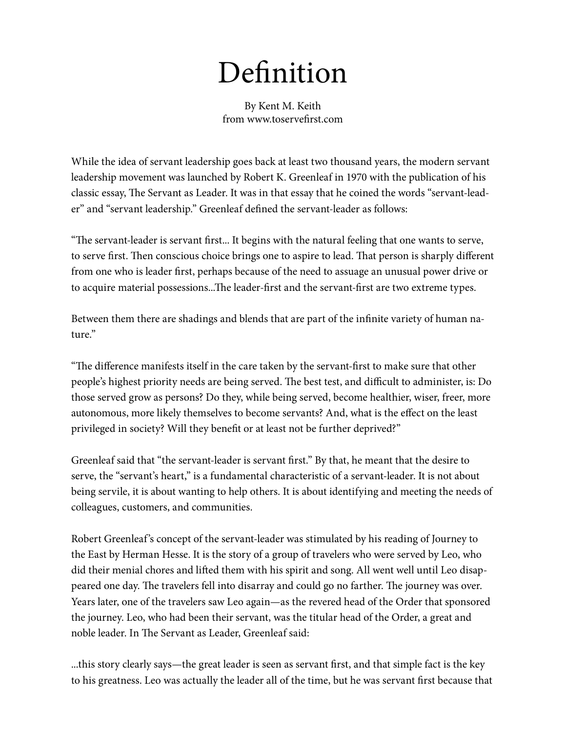## Definition

By Kent M. Keith from www.toservefirst.com

While the idea of servant leadership goes back at least two thousand years, the modern servant leadership movement was launched by Robert K. Greenleaf in 1970 with the publication of his classic essay, The Servant as Leader. It was in that essay that he coined the words "servant-leader" and "servant leadership." Greenleaf defined the servant-leader as follows:

"The servant-leader is servant first... It begins with the natural feeling that one wants to serve, to serve first. Then conscious choice brings one to aspire to lead. That person is sharply different from one who is leader first, perhaps because of the need to assuage an unusual power drive or to acquire material possessions...The leader-first and the servant-first are two extreme types.

Between them there are shadings and blends that are part of the infinite variety of human nature."

"The difference manifests itself in the care taken by the servant-first to make sure that other people's highest priority needs are being served. The best test, and difficult to administer, is: Do those served grow as persons? Do they, while being served, become healthier, wiser, freer, more autonomous, more likely themselves to become servants? And, what is the effect on the least privileged in society? Will they benefit or at least not be further deprived?"

Greenleaf said that "the servant-leader is servant first." By that, he meant that the desire to serve, the "servant's heart," is a fundamental characteristic of a servant-leader. It is not about being servile, it is about wanting to help others. It is about identifying and meeting the needs of colleagues, customers, and communities.

Robert Greenleaf's concept of the servant-leader was stimulated by his reading of Journey to the East by Herman Hesse. It is the story of a group of travelers who were served by Leo, who did their menial chores and lifted them with his spirit and song. All went well until Leo disappeared one day. The travelers fell into disarray and could go no farther. The journey was over. Years later, one of the travelers saw Leo again—as the revered head of the Order that sponsored the journey. Leo, who had been their servant, was the titular head of the Order, a great and noble leader. In The Servant as Leader, Greenleaf said:

...this story clearly says—the great leader is seen as servant first, and that simple fact is the key to his greatness. Leo was actually the leader all of the time, but he was servant first because that